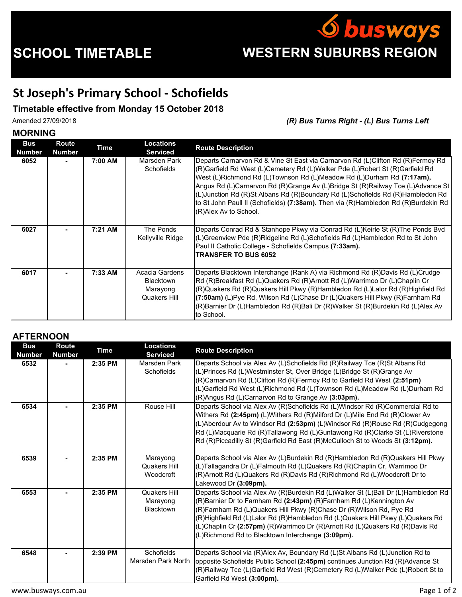

## **St Joseph's Primary School - Schofields**

## **Timetable effective from Monday 15 October 2018**

Amended 27/09/2018 *(R) Bus Turns Right - (L) Bus Turns Left*

## **MORNING**

| <b>Bus</b><br>Number | Route<br><b>Number</b> | <b>Time</b> | Locations<br><b>Serviced</b>                                   | <b>Route Description</b>                                                                                                                                                                                                                                                                                                                                                                                                                                                                                                     |
|----------------------|------------------------|-------------|----------------------------------------------------------------|------------------------------------------------------------------------------------------------------------------------------------------------------------------------------------------------------------------------------------------------------------------------------------------------------------------------------------------------------------------------------------------------------------------------------------------------------------------------------------------------------------------------------|
| 6052                 |                        | 7:00 AM     | Marsden Park<br><b>Schofields</b>                              | Departs Carnarvon Rd & Vine St East via Carnarvon Rd (L)Clifton Rd (R)Fermoy Rd<br>(R)Garfield Rd West (L)Cemetery Rd (L)Walker Pde (L)Robert St (R)Garfield Rd<br>West (L)Richmond Rd (L)Townson Rd (L)Meadow Rd (L)Durham Rd (7:17am),<br>Angus Rd (L)Carnarvon Rd (R)Grange Av (L)Bridge St (R)Railway Tce (L)Advance St<br>(L)Junction Rd (R)St Albans Rd (R)Boundary Rd (L)Schofields Rd (R)Hambledon Rd<br>to St John Paull II (Schofields) (7:38am). Then via (R)Hambledon Rd (R)Burdekin Rd<br>(R)Alex Av to School. |
| 6027                 |                        | 7:21 AM     | The Ponds<br>Kellyville Ridge                                  | Departs Conrad Rd & Stanhope Pkwy via Conrad Rd (L)Keirle St (R)The Ponds Bvd<br>(L)Greenview Pde (R)Ridgeline Rd (L)Schofields Rd (L)Hambledon Rd to St John<br>Paul II Catholic College - Schofields Campus (7:33am).<br><b>TRANSFER TO BUS 6052</b>                                                                                                                                                                                                                                                                       |
| 6017                 |                        | 7:33 AM     | Acacia Gardens<br><b>Blacktown</b><br>Marayong<br>Quakers Hill | Departs Blacktown Interchange (Rank A) via Richmond Rd (R)Davis Rd (L)Crudge<br>Rd (R)Breakfast Rd (L)Quakers Rd (R)Arnott Rd (L)Warrimoo Dr (L)Chaplin Cr<br>(R)Quakers Rd (R)Quakers Hill Pkwy (R)Hambledon Rd (L)Lalor Rd (R)Highfield Rd<br>(7:50am) (L)Pye Rd, Wilson Rd (L)Chase Dr (L)Quakers Hill Pkwy (R)Farnham Rd<br>(R)Barnier Dr (L)Hambledon Rd (R)Bali Dr (R)Walker St (R)Burdekin Rd (L)Alex Av<br>to School.                                                                                                |

## **AFTERNOON**

| <b>Bus</b><br><b>Number</b> | Route<br><b>Number</b> | <b>Time</b> | <b>Locations</b><br><b>Serviced</b>          | <b>Route Description</b>                                                                                                                                                                                                                                                                                                                                                                                                                               |
|-----------------------------|------------------------|-------------|----------------------------------------------|--------------------------------------------------------------------------------------------------------------------------------------------------------------------------------------------------------------------------------------------------------------------------------------------------------------------------------------------------------------------------------------------------------------------------------------------------------|
| 6532                        |                        | 2:35 PM     | Marsden Park<br><b>Schofields</b>            | Departs School via Alex Av (L)Schofields Rd (R)Railway Tce (R)St Albans Rd<br>(L)Princes Rd (L)Westminster St, Over Bridge (L)Bridge St (R)Grange Av<br>(R)Carnarvon Rd (L)Clifton Rd (R)Fermoy Rd to Garfield Rd West (2:51pm)<br>(L)Garfield Rd West (L)Richmond Rd (L)Townson Rd (L)Meadow Rd (L)Durham Rd<br>(R) Angus Rd (L) Carnarvon Rd to Grange Av (3:03pm).                                                                                  |
| 6534                        |                        | 2:35 PM     | Rouse Hill                                   | Departs School via Alex Av (R)Schofields Rd (L)Windsor Rd (R)Commercial Rd to<br>Withers Rd (2:45pm) (L)Withers Rd (R)Milford Dr (L)Mile End Rd (R)Clower Av<br>(L)Aberdour Av to Windsor Rd (2:53pm) (L)Windsor Rd (R)Rouse Rd (R)Cudgegong<br>Rd (L)Macquarie Rd (R)Tallawong Rd (L)Guntawong Rd (R)Clarke St (L)Riverstone<br>Rd (R)Piccadilly St (R)Garfield Rd East (R)McCulloch St to Woods St (3:12pm).                                         |
| 6539                        |                        | 2:35 PM     | Marayong<br>Quakers Hill<br>Woodcroft        | Departs School via Alex Av (L)Burdekin Rd (R)Hambledon Rd (R)Quakers Hill Pkwy<br>(L)Tallagandra Dr (L)Falmouth Rd (L)Quakers Rd (R)Chaplin Cr, Warrimoo Dr<br>(R)Arnott Rd (L)Quakers Rd (R)Davis Rd (R)Richmond Rd (L)Woodcroft Dr to<br>Lakewood Dr (3:09pm).                                                                                                                                                                                       |
| 6553                        |                        | 2:35 PM     | Quakers Hill<br>Marayong<br><b>Blacktown</b> | Departs School via Alex Av (R)Burdekin Rd (L)Walker St (L)Bali Dr (L)Hambledon Rd<br>(R)Barnier Dr to Farnham Rd (2:43pm) (R)Farnham Rd (L)Kennington Av<br>(R)Farnham Rd (L)Quakers Hill Pkwy (R)Chase Dr (R)Wilson Rd, Pye Rd<br>(R)Highfield Rd (L)Lalor Rd (R)Hambledon Rd (L)Quakers Hill Pkwy (L)Quakers Rd<br>(L)Chaplin Cr (2:57pm) (R)Warrimoo Dr (R)Arnott Rd (L)Quakers Rd (R)Davis Rd<br>(L)Richmond Rd to Blacktown Interchange (3:09pm). |
| 6548                        |                        | 2:39 PM     | <b>Schofields</b><br>Marsden Park North      | Departs School via (R)Alex Av, Boundary Rd (L)St Albans Rd (L)Junction Rd to<br>opposite Schofields Public School (2:45pm) continues Junction Rd (R)Advance St<br>(R)Railway Tce (L)Garfield Rd West (R)Cemetery Rd (L)Walker Pde (L)Robert St to<br>Garfield Rd West (3:00pm).                                                                                                                                                                        |